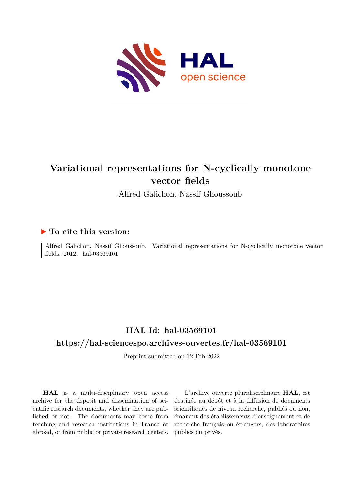

# **Variational representations for N-cyclically monotone vector fields**

Alfred Galichon, Nassif Ghoussoub

## **To cite this version:**

Alfred Galichon, Nassif Ghoussoub. Variational representations for N-cyclically monotone vector fields.  $2012.$  hal- $03569101$ 

## **HAL Id: hal-03569101**

### **<https://hal-sciencespo.archives-ouvertes.fr/hal-03569101>**

Preprint submitted on 12 Feb 2022

**HAL** is a multi-disciplinary open access archive for the deposit and dissemination of scientific research documents, whether they are published or not. The documents may come from teaching and research institutions in France or abroad, or from public or private research centers.

L'archive ouverte pluridisciplinaire **HAL**, est destinée au dépôt et à la diffusion de documents scientifiques de niveau recherche, publiés ou non, émanant des établissements d'enseignement et de recherche français ou étrangers, des laboratoires publics ou privés.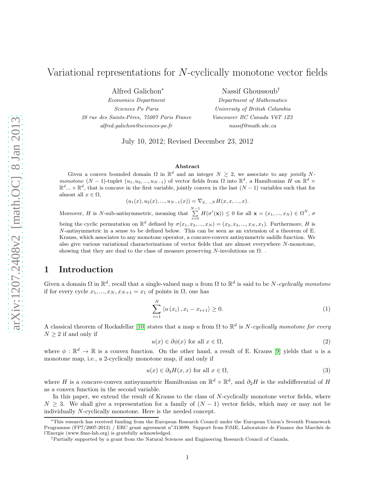Alfred Galichon<sup>∗</sup>

Economics Department Sciences Po Paris 28 rue des Saints-Pères, 75007 Paris France alfred.galichon@sciences-po.fr

Nassif Ghoussoub†

Department of Mathematics University of British Columbia Vancouver BC Canada V6T 1Z2 nassif@math.ubc.ca

July 10, 2012; Revised December 23, 2012

#### Abstract

Given a convex bounded domain  $\Omega$  in  $\mathbb{R}^d$  and an integer  $N \geq 2$ , we associate to any jointly Nmonotone  $(N-1)$ -tuplet  $(u_1, u_2, ..., u_{N-1})$  of vector fields from  $\Omega$  into  $\mathbb{R}^d$ , a Hamiltonian H on  $\mathbb{R}^d$  ×  $\mathbb{R}^d...\times\mathbb{R}^d$ , that is concave in the first variable, jointly convex in the last  $(N-1)$  variables such that for almost all  $x \in \Omega$ ,

$$
(u_1(x), u_2(x), ..., u_{N-1}(x)) = \nabla_{2,...,N} H(x, x, ..., x).
$$

Moreover, H is N-sub-antisymmetric, meaning that  $\sum_{i=0}^{N-1} H(\sigma^i(\mathbf{x})) \leq 0$  for all  $\mathbf{x} = (x_1, ..., x_N) \in \Omega^N$ ,  $\sigma$ being the cyclic permutation on  $\mathbb{R}^d$  defined by  $\sigma(x_1, x_2, ..., x_N) = (x_2, x_3, ..., x_N, x_1)$ . Furthermore, H is N-antisymmetric in a sense to be defined below. This can be seen as an extension of a theorem of E. Krauss, which associates to any monotone operator, a concave-convex antisymmetric saddle function. We

also give various variational characterizations of vector fields that are almost everywhere N-monotone, showing that they are dual to the class of measure preserving N-involutions on  $\Omega$ .

### 1 Introduction

Given a domain  $\Omega$  in  $\mathbb{R}^d$ , recall that a single-valued map u from  $\Omega$  to  $\mathbb{R}^d$  is said to be N-cyclically monotone if for every cycle  $x_1, ..., x_N, x_{N+1} = x_1$  of points in  $\Omega$ , one has

$$
\sum_{i=1}^{N} \left\langle u(x_i), x_i - x_{i+1} \right\rangle \ge 0. \tag{1}
$$

A classical theorem of Rockafellar [\[10\]](#page-13-0) states that a map u from  $\Omega$  to  $\mathbb{R}^d$  is N-cyclically monotone for every  $N \geq 2$  if and only if

$$
u(x) \in \partial \phi(x) \text{ for all } x \in \Omega,
$$
\n<sup>(2)</sup>

where  $\phi : \mathbb{R}^d \to \mathbb{R}$  is a convex function. On the other hand, a result of E. Krauss [\[9\]](#page-13-1) yields that u is a monotone map, i.e., a 2-cyclically monotone map, if and only if

$$
u(x) \in \partial_2 H(x, x) \text{ for all } x \in \Omega,
$$
\n
$$
(3)
$$

where H is a concave-convex antisymmetric Hamiltonian on  $\mathbb{R}^d \times \mathbb{R}^d$ , and  $\partial_2 H$  is the subdifferential of H as a convex function in the second variable.

In this paper, we extend the result of Krauss to the class of N-cyclically monotone vector fields, where  $N \geq 3$ . We shall give a representation for a family of  $(N-1)$  vector fields, which may or may not be individually N-cyclically monotone. Here is the needed concept.

<sup>∗</sup>This research has received funding from the European Research Council under the European Union's Seventh Framework Programme (FP7/2007-2013) / ERC grant agreement n°313699. Support from FiME, Laboratoire de Finance des Marchés de l'Energie (www.fime-lab.org) is gratefully acknowledged.

<sup>†</sup>Partially supported by a grant from the Natural Sciences and Engineering Research Council of Canada.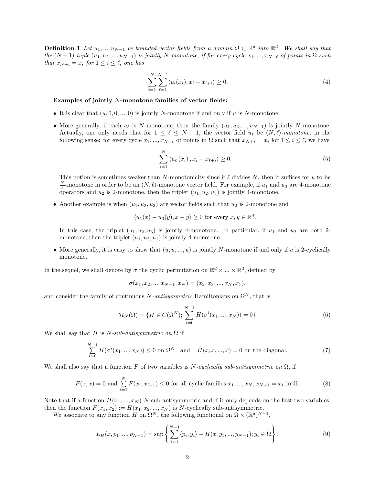**Definition 1** Let  $u_1, ..., u_{N-1}$  be bounded vector fields from a domain  $\Omega \subset \mathbb{R}^d$  into  $\mathbb{R}^d$ . We shall say that the  $(N-1)$ -tuple  $(u_1, u_2, ..., u_{N-1})$  is jointly N-monotone, if for every cycle  $x_1, ..., x_{N+\ell}$  of points in  $\Omega$  such that  $x_{N+i} = x_i$  for  $1 \leq i \leq \ell$ , one has

$$
\sum_{i=1}^{N} \sum_{\ell=1}^{N-1} \langle u_l(x_i), x_i - x_{l+i} \rangle \ge 0.
$$
 (4)

#### Examples of jointly N-monotone families of vector fields:

- It is clear that  $(u, 0, 0, \ldots, 0)$  is jointly N-monotone if and only if u is N-monotone.
- More generally, if each  $u_\ell$  is N-monotone, then the family  $(u_1, u_2, ..., u_{N-1})$  is jointly N-monotone. Actually, one only needs that for  $1 \leq \ell \leq N-1$ , the vector field  $u_{\ell}$  be  $(N, \ell)$ -monotone, in the following sense: for every cycle  $x_1, ..., x_{N+\ell}$  of points in  $\Omega$  such that  $x_{N+i} = x_i$  for  $1 \le i \le \ell$ , we have

$$
\sum_{i=1}^{N} \left\langle u_{\ell}(x_i), x_i - x_{\ell+i} \right\rangle \ge 0. \tag{5}
$$

This notion is sometimes weaker than N-monotonicity since if  $\ell$  divides N, then it suffices for u to be  $\frac{N}{\ell}$ -monotone in order to be an  $(N, \ell)$ -monotone vector field. For example, if  $u_1$  and  $u_3$  are 4-monotone operators and  $u_2$  is 2-monotone, then the triplet  $(u_1, u_2, u_3)$  is jointly 4-monotone.

• Another example is when  $(u_1, u_2, u_3)$  are vector fields such that  $u_2$  is 2-monotone and

$$
\langle u_1(x) - u_3(y), x - y \rangle \ge 0
$$
 for every  $x, y \in \mathbb{R}^d$ .

In this case, the triplet  $(u_1, u_2, u_3)$  is jointly 4-monotone. In particular, if  $u_1$  and  $u_2$  are both 2monotone, then the triplet  $(u_1, u_2, u_1)$  is jointly 4-monotone.

• More generally, it is easy to show that  $(u, u, ..., u)$  is jointly N-monotone if and only if u is 2-cyclically monotone.

In the sequel, we shall denote by  $\sigma$  the cyclic permutation on  $\mathbb{R}^d \times \ldots \times \mathbb{R}^d$ , defined by

$$
\sigma(x_1, x_2, ..., x_{N-1}, x_N) = (x_2, x_3, ..., x_N, x_1),
$$

and consider the family of continuous N-antisymmetric Hamiltonians on  $\Omega^N$ , that is

<span id="page-2-0"></span>
$$
\mathcal{H}_N(\Omega) = \{ H \in C(\Omega^N) ; \sum_{i=0}^{N-1} H(\sigma^i(x_1, ..., x_N)) = 0 \}
$$
\n(6)

We shall say that H is N-sub-antisymmetric on  $\Omega$  if

$$
\sum_{i=0}^{N-1} H(\sigma^i(x_1, ..., x_N)) \le 0 \text{ on } \Omega^N \text{ and } H(x, x, ..., x) = 0 \text{ on the diagonal.}
$$
 (7)

We shall also say that a function F of two variables is N-cyclically sub-antisymmetric on  $\Omega$ , if

$$
F(x, x) = 0 \text{ and } \sum_{i=1}^{N} F(x_i, x_{i+1}) \le 0 \text{ for all cyclic families } x_1, ..., x_N, x_{N+1} = x_1 \text{ in } \Omega. \tag{8}
$$

Note that if a function  $H(x_1, ..., x_N)$  N-sub-antisymmetric and if it only depends on the first two variables, then the function  $F(x_1, x_2) := H(x_1, x_2, ..., x_N)$  is N-cyclically sub-antisymmetric.

We associate to any function H on  $\Omega^N$ , the following functional on  $\Omega \times (\mathbb{R}^d)^{N-1}$ ,

$$
L_H(x, p_1, ..., p_{N-1}) = \sup \left\{ \sum_{i=1}^{N-1} \langle p_i, y_i \rangle - H(x, y_1, ..., y_{N-1}); y_i \in \Omega \right\}.
$$
 (9)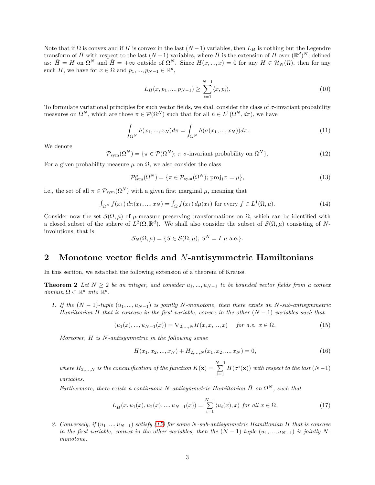Note that if  $\Omega$  is convex and if H is convex in the last  $(N-1)$  variables, then  $L_H$  is nothing but the Legendre transform of  $\tilde{H}$  with respect to the last  $(N-1)$  variables, where  $\tilde{H}$  is the extension of H over  $(\mathbb{R}^d)^N$ , defined as:  $\tilde{H} = H$  on  $\Omega^N$  and  $\tilde{H} = +\infty$  outside of  $\Omega^N$ . Since  $H(x, ..., x) = 0$  for any  $H \in \mathcal{H}_N(\Omega)$ , then for any such H, we have for  $x \in \Omega$  and  $p_1, ..., p_{N-1} \in \mathbb{R}^d$ ,

$$
L_H(x, p_1, ..., p_{N-1}) \ge \sum_{i=1}^{N-1} \langle x, p_i \rangle.
$$
 (10)

To formulate variational principles for such vector fields, we shall consider the class of  $\sigma$ -invariant probability measures on  $\Omega^N$ , which are those  $\pi \in \mathcal{P}(\Omega^N)$  such that for all  $h \in L^1(\Omega^N, d\pi)$ , we have

$$
\int_{\Omega^N} h(x_1, ..., x_N) d\pi = \int_{\Omega^N} h(\sigma(x_1, ..., x_N)) d\pi.
$$
\n(11)

We denote

$$
\mathcal{P}_{sym}(\Omega^N) = \{ \pi \in \mathcal{P}(\Omega^N) ; \ \pi \ \sigma\text{-invariant probability on } \Omega^N \}. \tag{12}
$$

For a given probability measure  $\mu$  on  $\Omega$ , we also consider the class

$$
\mathcal{P}_{sym}^{\mu}(\Omega^N) = \{ \pi \in \mathcal{P}_{sym}(\Omega^N); \text{proj}_1 \pi = \mu \},\tag{13}
$$

i.e., the set of all  $\pi \in \mathcal{P}_{sym}(\Omega^N)$  with a given first marginal  $\mu$ , meaning that

$$
\int_{\Omega^N} f(x_1) d\pi(x_1, ..., x_N) = \int_{\Omega} f(x_1) d\mu(x_1)
$$
 for every  $f \in L^1(\Omega, \mu)$ . (14)

Consider now the set  $\mathcal{S}(\Omega,\mu)$  of  $\mu$ -measure preserving transformations on  $\Omega$ , which can be identified with a closed subset of the sphere of  $L^2(\Omega, \mathbb{R}^d)$ . We shall also consider the subset of  $\mathcal{S}(\Omega, \mu)$  consisting of Ninvolutions, that is

$$
\mathcal{S}_N(\Omega,\mu) = \{ S \in \mathcal{S}(\Omega,\mu); S^N = I \mu \text{ a.e.} \}.
$$

#### 2 Monotone vector fields and N-antisymmetric Hamiltonians

<span id="page-3-2"></span>In this section, we establish the following extension of a theorem of Krauss.

**Theorem 2** Let  $N \geq 2$  be an integer, and consider  $u_1, ..., u_{N-1}$  to be bounded vector fields from a convex domain  $\Omega \subset \mathbb{R}^d$  into  $\mathbb{R}^d$ .

1. If the  $(N-1)$ -tuple  $(u_1,...,u_{N-1})$  is jointly N-monotone, then there exists an N-sub-antisymmetric Hamiltonian H that is concave in the first variable, convex in the other  $(N-1)$  variables such that

<span id="page-3-0"></span>
$$
(u_1(x),...,u_{N-1}(x)) = \nabla_{2,...,N} H(x,x,...,x) \quad \text{for a.e. } x \in \Omega. \tag{15}
$$

Moreover, H is N-antisymmetric in the following sense

<span id="page-3-1"></span>
$$
H(x_1, x_2, ..., x_N) + H_{2,...,N}(x_1, x_2, ..., x_N) = 0,
$$
\n(16)

where  $H_{2,\ldots,N}$  is the concavification of the function  $K(\mathbf{x}) = \sum_{n=1}^{N-1}$  $i=1$  $H(\sigma^i(\mathbf{x}))$  with respect to the last  $(N-1)$ variables.

Furthermore, there exists a continuous N-antisymmetric Hamiltonian  $\overline{H}$  on  $\Omega^N$ , such that

<span id="page-3-3"></span>
$$
L_{\bar{H}}(x, u_1(x), u_2(x), ..., u_{N-1}(x)) = \sum_{i=1}^{N-1} \langle u_i(x), x \rangle \text{ for all } x \in \Omega.
$$
 (17)

2. Conversely, if  $(u_1, ..., u_{N-1})$  satisfy [\(15\)](#page-3-0) for some N-sub-antisymmetric Hamiltonian H that is concave in the first variable, convex in the other variables, then the  $(N-1)$ -tuple  $(u_1, ..., u_{N-1})$  is jointly N monotone.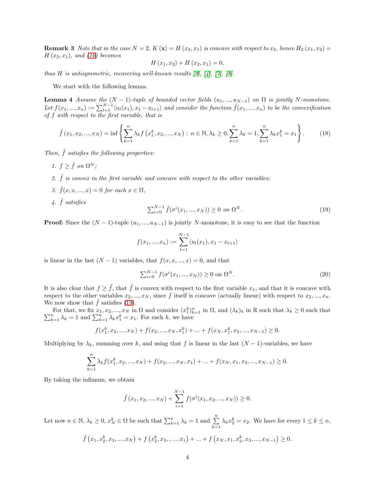**Remark 3** Note that in the case  $N = 2$ ,  $K(\mathbf{x}) = H(x_2, x_1)$  is concave with respect to  $x_2$ , hence  $H_2(x_1, x_2) =$  $H(x_2, x_1)$ , and [\(16\)](#page-3-1) becomes

$$
H(x_1, x_2) + H(x_2, x_1) = 0,
$$

thus H is antisymmetric, recovering well-known results  $[9]$ ,  $[4]$ ,  $[7]$ ,  $[8]$ .

<span id="page-4-1"></span>We start with the following lemma.

**Lemma 4** Assume the  $(N-1)$ -tuple of bounded vector fields  $(u_1, ..., u_{N-1})$  on  $\Omega$  is jointly N-monotone. Let  $f(x_1, ..., x_n) := \sum_{l=1}^{N-1} \langle u_l(x_1), x_1 - x_{l+1} \rangle$  and consider the function  $\tilde{f}(x_1, ..., x_n)$  to be the convexification of f with respect to the first variable, that is

$$
\tilde{f}(x_1, x_2, ..., x_N) = \inf \left\{ \sum_{k=1}^n \lambda_k f(x_1^k, x_2, ..., x_N) : n \in \mathbb{N}, \lambda_k \ge 0, \sum_{k=1}^n \lambda_k = 1, \sum_{k=1}^n \lambda_k x_1^k = x_1 \right\}.
$$
 (18)

Then,  $\tilde{f}$  satisfies the following properties:

- 1.  $f \geq \tilde{f}$  on  $\Omega^N$ ;
- 2.  $\tilde{f}$  is convex in the first variable and concave with respect to the other variables;
- 3.  $\tilde{f}(x, x, ..., x) = 0$  for each  $x \in \Omega$ ,
- 4.  $\tilde{f}$  satisfies

<span id="page-4-0"></span>
$$
\sum_{i=0}^{N-1} \tilde{f}(\sigma^i(x_1, ..., x_N)) \ge 0 \text{ on } \Omega^N. \tag{19}
$$

**Proof:** Since the  $(N-1)$ -tuple  $(u_1, ..., u_{N-1})$  is jointly N-monotone, it is easy to see that the function

$$
f(x_1, ..., x_n) := \sum_{l=1}^{N-1} \langle u_l(x_1), x_1 - x_{l+1} \rangle
$$

is linear in the last  $(N-1)$  variables, that  $f(x, x, ..., x) = 0$ , and that

$$
\sum_{i=0}^{N-1} f(\sigma^i(x_1, ..., x_N)) \ge 0 \text{ on } \Omega^N. \tag{20}
$$

It is also clear that  $f \geq \tilde{f}$ , that  $\tilde{f}$  is convex with respect to the first variable  $x_1$ , and that it is concave with respect to the other variables  $x_2, ..., x_N$ , since f itself is concave (actually linear) with respect to  $x_2, ..., x_n$ . We now show that  $\tilde{f}$  satisfies [\(19\)](#page-4-0).

For that, we fix  $x_1, x_2, ..., x_N$  in  $\Omega$  and consider  $(x_1^k)_{k=1}^n$ <br> $\sum_{k=1}^n \lambda_k = 1$  and  $\sum_{k=1}^n \lambda_k x_1^k = x_1$ . For each k, we have For that, we fix  $x_1, x_2, ..., x_N$  in  $\Omega$  and consider  $(x_1^k)_{k=1}^n$  in  $\Omega$ , and  $(\lambda_k)_k$  in  $\mathbb R$  such that  $\lambda_k \geq 0$  such that  $\sum_{k=1}^n \lambda_k = 1$  and  $\sum_{k=1}^n \lambda_k x_1^k = x_1$ . For each k, we have

$$
f(x_1^k, x_2, ..., x_N) + f(x_2, ..., x_N, x_1^k) + ... + f(x_N, x_1^k, x_2, ..., x_{N-1}) \ge 0.
$$

Multiplying by  $\lambda_k$ , summing over k, and using that f is linear in the last  $(N-1)$ -variables, we have

$$
\sum_{k=1}^{n} \lambda_k f(x_1^k, x_2, ..., x_N) + f(x_2, ..., x_N, x_1) + ... + f(x_N, x_1, x_2, ..., x_{N-1}) \ge 0.
$$

By taking the infimum, we obtain

$$
\tilde{f}(x_1, x_2, ..., x_N) + \sum_{i=1}^{N-1} f(\sigma^i(x_1, x_2, ..., x_N)) \ge 0.
$$

Let now  $n \in \mathbb{N}$ ,  $\lambda_k \ge 0$ ,  $x_N^k \in \Omega$  be such that  $\sum_{k=1}^n \lambda_k = 1$  and  $\sum_{k=1}^n \lambda_k x_2^k = x_2$ . We have for every  $1 \le k \le n$ ,

$$
\tilde{f}(x_1, x_2^k, x_3, ..., x_N) + f(x_2^k, x_3, ..., x_1) + ... + f(x_N, x_1, x_2^k, x_3, ..., x_{N-1}) \ge 0.
$$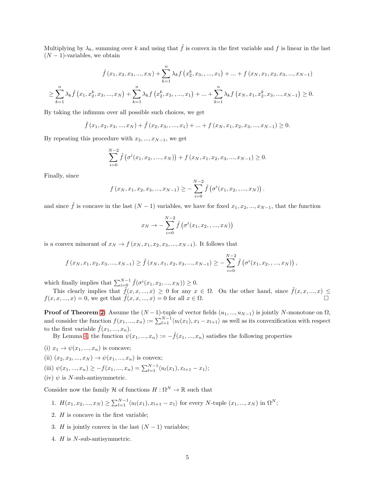Multiplying by  $\lambda_k$ , summing over k and using that  $\tilde{f}$  is convex in the first variable and f is linear in the last  $(N-1)$ -variables, we obtain

$$
\tilde{f}(x_1, x_2, x_3, ..., x_N) + \sum_{k=1}^n \lambda_k f(x_2^k, x_3, ..., x_1) + ... + f(x_N, x_1, x_2, x_3, ..., x_{N-1})
$$
\n
$$
\geq \sum_{k=1}^n \lambda_k \tilde{f}(x_1, x_2^k, x_3, ..., x_N) + \sum_{k=1}^n \lambda_k f(x_2^k, x_3, ..., x_1) + ... + \sum_{k=1}^n \lambda_k f(x_N, x_1, x_2^k, x_3, ..., x_{N-1}) \geq 0.
$$

By taking the infimum over all possible such choices, we get

 $\tilde{f}(x_1, x_2, x_3, ..., x_N) + \tilde{f}(x_2, x_3, ..., x_1) + ... + f(x_N, x_1, x_2, x_3, ..., x_{N-1}) \geq 0.$ 

By repeating this procedure with  $x_3, ..., x_{N-1}$ , we get

$$
\sum_{i=0}^{N-2} \tilde{f}(\sigma^i(x_1, x_2, ..., x_N)) + f(x_N, x_1, x_2, x_3, ..., x_{N-1}) \ge 0.
$$

Finally, since

$$
f(x_N, x_1, x_2, x_3, ..., x_{N-1}) \ge -\sum_{i=0}^{N-2} \tilde{f}(\sigma^i(x_1, x_2, ..., x_N)).
$$

and since  $\tilde{f}$  is concave in the last  $(N-1)$  variables, we have for fixed  $x_1, x_2, ..., x_{N-1}$ , that the function

$$
x_N \to -\sum_{i=0}^{N-2} \tilde{f}(\sigma^i(x_1, x_2, ..., x_N))
$$

is a convex minorant of  $x_N \to f(x_N, x_1, x_2, x_3, ..., x_{N-1})$ . It follows that

$$
f(x_N, x_1, x_2, x_3, ..., x_{N-1}) \ge \tilde{f}(x_N, x_1, x_2, x_3, ..., x_{N-1}) \ge -\sum_{i=0}^{N-2} \tilde{f}(\sigma^i(x_1, x_2, ..., x_N)),
$$

which finally implies that  $\sum_{i=0}^{N-1} \tilde{f}(\sigma^i(x_1, x_2, ..., x_N)) \geq 0$ .

This clearly implies that  $\tilde{f}(x, x, ..., x) \geq 0$  for any  $x \in \Omega$ . On the other hand, since  $\tilde{f}(x, x, ..., x) \leq$  $f(x, x, ..., x) = 0$ , we get that  $f(x, x, ..., x) = 0$  for all  $x \in \Omega$ .

**Proof of Theorem [2:](#page-3-2)** Assume the  $(N-1)$ -tuple of vector fields  $(u_1, ..., u_{N-1})$  is jointly N-monotone on  $\Omega$ , and consider the function  $f(x_1, ..., x_n) := \sum_{l=1}^{N-1} \langle u_l(x_1), x_1 - x_{l+1} \rangle$  as well as its convexification with respect to the first variable  $\hat{f}(x_1, ..., x_n)$ .

By Lemma [4,](#page-4-1) the function  $\psi(x_1, ..., x_n) := -\tilde{f}(x_1, ..., x_n)$  satisfies the following properties

- (i)  $x_1 \rightarrow \psi(x_1, ..., x_n)$  is concave;
- (ii)  $(x_2, x_3, ..., x_N) \to \psi(x_1, ..., x_n)$  is convex;
- (iii)  $\psi(x_1, ..., x_n) \ge -f(x_1, ..., x_n) = \sum_{l=1}^{N-1} \langle u_l(x_1), x_{l+1} x_1 \rangle;$
- (iv)  $\psi$  is N-sub-antisymmetric.

Consider now the family H of functions  $H : \Omega^N \to \mathbb{R}$  such that

1. 
$$
H(x_1, x_2, ..., x_N) \ge \sum_{l=1}^{N-1} \langle u_l(x_1), x_{l+1} - x_1 \rangle
$$
 for every N-tuple  $(x_1, ..., x_N)$  in  $\Omega^N$ ;

- 2. H is concave in the first variable;
- 3. H is jointly convex in the last  $(N-1)$  variables;
- 4. H is N-sub-antisymmetric.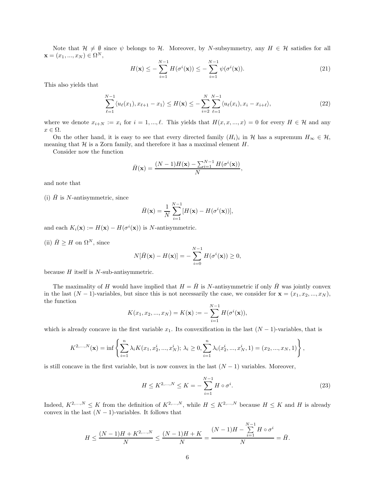Note that  $\mathcal{H} \neq \emptyset$  since  $\psi$  belongs to H. Moreover, by N-subsymmetry, any  $H \in \mathcal{H}$  satisfies for all  $\mathbf{x} = (x_1, ..., x_N) \in \Omega^N,$ 

$$
H(\mathbf{x}) \le -\sum_{i=1}^{N-1} H(\sigma^i(\mathbf{x})) \le -\sum_{i=1}^{N-1} \psi(\sigma^i(\mathbf{x})).
$$
\n(21)

This also yields that

$$
\sum_{\ell=1}^{N-1} \langle u_{\ell}(x_1), x_{\ell+1} - x_1 \rangle \le H(\mathbf{x}) \le -\sum_{i=2}^{N} \sum_{\ell=1}^{N-1} \langle u_{\ell}(x_i), x_i - x_{i+\ell} \rangle, \tag{22}
$$

where we denote  $x_{i+N} := x_i$  for  $i = 1, ..., \ell$ . This yields that  $H(x, x, ..., x) = 0$  for every  $H \in \mathcal{H}$  and any  $x \in \Omega$ .

On the other hand, it is easy to see that every directed family  $(H_i)_i$  in H has a supremum  $H_\infty \in \mathcal{H}$ , meaning that  $H$  is a Zorn family, and therefore it has a maximal element  $H$ .

Consider now the function

$$
\bar{H}(\mathbf{x}) = \frac{(N-1)H(\mathbf{x}) - \sum_{i=1}^{N-1} H(\sigma^i(\mathbf{x}))}{N},
$$

and note that

(i)  $H$  is N-antisymmetric, since

$$
\bar{H}(\mathbf{x}) = \frac{1}{N} \sum_{i=1}^{N-1} [H(\mathbf{x}) - H(\sigma^{i}(\mathbf{x}))],
$$

and each  $K_i(\mathbf{x}) := H(\mathbf{x}) - H(\sigma^i(\mathbf{x}))$  is N-antisymmetric.

(ii)  $\bar{H} \geq H$  on  $\Omega^N$ , since

$$
N[\bar{H}(\mathbf{x}) - H(\mathbf{x})] = -\sum_{i=0}^{N-1} H(\sigma^i(\mathbf{x})) \ge 0,
$$

because  $H$  itself is  $N$ -sub-antisymmetric.

The maximality of H would have implied that  $H = \overline{H}$  is N-antisymmetric if only  $\overline{H}$  was jointly convex in the last  $(N-1)$ -variables, but since this is not necessarily the case, we consider for  $\mathbf{x} = (x_1, x_2, ..., x_N)$ , the function

$$
K(x_1, x_2, ..., x_N) = K(\mathbf{x}) := -\sum_{i=1}^{N-1} H(\sigma^i(\mathbf{x})),
$$

which is already concave in the first variable  $x_1$ . Its convexification in the last  $(N-1)$ -variables, that is

$$
K^{2,\ldots,N}(\mathbf{x}) = \inf \left\{ \sum_{i=1}^{n} \lambda_i K(x_1, x_2^i, ..., x_N^i); \ \lambda_i \ge 0, \sum_{i=1}^{n} \lambda_i (x_2^i, ..., x_N^i, 1) = (x_2, ..., x_N, 1) \right\},\
$$

is still concave in the first variable, but is now convex in the last  $(N-1)$  variables. Moreover,

$$
H \le K^{2,\dots,N} \le K = -\sum_{i=1}^{N-1} H \circ \sigma^i.
$$
 (23)

Indeed,  $K^{2,...,N} \leq K$  from the definition of  $K^{2,...,N}$ , while  $H \leq K^{2,...,N}$  because  $H \leq K$  and H is already convex in the last  $(N-1)$ -variables. It follows that

$$
H \le \frac{(N-1)H + K^{2,...,N}}{N} \le \frac{(N-1)H + K}{N} = \frac{(N-1)H - \sum_{i=1}^{N-1} H \circ \sigma^i}{N} = \bar{H}.
$$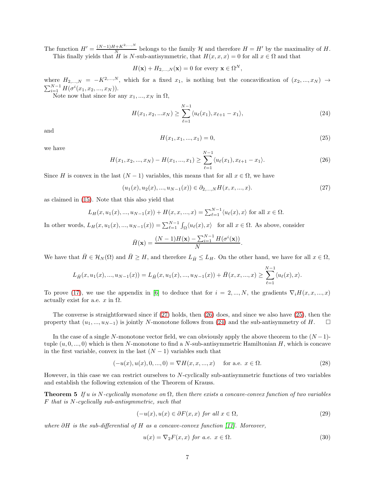The function  $H' = \frac{(N-1)H + K^{2,\ldots,N}}{N}$  $\frac{N+K^{2,\ldots,N}}{N}$  belongs to the family H and therefore  $H = H'$  by the maximality of H. This finally yields that H is N-sub-antisymmetric, that  $H(x, x, x) = 0$  for all  $x \in \Omega$  and that

 $H(\mathbf{x}) + H_{2,...,N}(\mathbf{x}) = 0$  for every  $\mathbf{x} \in \Omega^N$ ,

where  $H_{2,...,N} = -K^{2,...,N}$ , which for a fixed  $x_1$ , is nothing but the concavification of  $(x_2,...,x_N) \rightarrow$  $\sum_{i=1}^{N-1} H(\sigma^i(x_1, x_2, ..., x_N)).$ 

Note now that since for any  $x_1, ..., x_N$  in  $\Omega$ ,

<span id="page-7-3"></span>
$$
H(x_1, x_2, ... x_N) \ge \sum_{\ell=1}^{N-1} \langle u_{\ell}(x_1), x_{\ell+1} - x_1 \rangle,
$$
\n(24)

and

<span id="page-7-2"></span>
$$
H(x_1, x_1, ..., x_1) = 0,\t\t(25)
$$

we have

<span id="page-7-1"></span>
$$
H(x_1, x_2, ..., x_N) - H(x_1, ..., x_1) \ge \sum_{\ell=1}^{N-1} \langle u_{\ell}(x_1), x_{\ell+1} - x_1 \rangle.
$$
 (26)

Since H is convex in the last  $(N-1)$  variables, this means that for all  $x \in \Omega$ , we have

<span id="page-7-0"></span> $(u_1(x), u_2(x), ..., u_{N-1}(x)) \in \partial_{2,...,N} H(x, x, ..., x).$  (27)

as claimed in [\(15\)](#page-3-0). Note that this also yield that

$$
L_H(x, u_1(x), ..., u_{N-1}(x)) + H(x, x, ..., x) = \sum_{\ell=1}^{N-1} \langle u_\ell(x), x \rangle \text{ for all } x \in \Omega.
$$

In other words,  $L_H(x, u_1(x), ..., u_{N-1}(x)) = \sum_{\ell=1}^{N-1} \int_{\Omega} \langle u_{\ell}(x), x \rangle$  for all  $x \in \Omega$ . As above, consider

$$
\bar{H}(\mathbf{x}) = \frac{(N-1)H(\mathbf{x}) - \sum_{i=1}^{N-1} H(\sigma^i(\mathbf{x}))}{N}.
$$

We have that  $\bar{H} \in \mathcal{H}_N(\Omega)$  and  $\bar{H} \geq H$ , and therefore  $L_{\bar{H}} \leq L_H$ . On the other hand, we have for all  $x \in \Omega$ ,

$$
L_{\bar{H}}(x, u_1(x), ..., u_{N-1}(x)) = L_{\bar{H}}(x, u_1(x), ..., u_{N-1}(x)) + \bar{H}(x, x, ..., x) \ge \sum_{\ell=1}^{N-1} \langle u_\ell(x), x \rangle.
$$

To prove [\(17\)](#page-3-3), we use the appendix in [\[6\]](#page-13-5) to deduce that for  $i = 2, ..., N$ , the gradients  $\nabla_i H(x, x, ..., x)$ actually exist for a.e.  $x$  in  $\Omega$ .

The converse is straightforward since if [\(27\)](#page-7-0) holds, then [\(26\)](#page-7-1) does, and since we also have [\(25\)](#page-7-2), then the property that  $(u_1, ..., u_{N-1})$  is jointly N-monotone follows from [\(24\)](#page-7-3) and the sub-antisymmetry of H.  $\Box$ 

In the case of a single N-monotone vector field, we can obviously apply the above theorem to the  $(N-1)$ tuple  $(u, 0, ..., 0)$  which is then N-monotone to find a N-sub-antisymmetric Hamiltonian H, which is concave in the first variable, convex in the last  $(N-1)$  variables such that

$$
(-u(x), u(x), 0, ..., 0) = \nabla H(x, x, ..., x) \quad \text{for a.e. } x \in \Omega.
$$
 (28)

However, in this case we can restrict ourselves to N-cyclically sub-antisymmetric functions of two variables and establish the following extension of the Theorem of Krauss.

**Theorem 5** If u is N-cyclically monotone on  $\Omega$ , then there exists a concave-convex function of two variables F that is N-cyclically sub-antisymmetric, such that

$$
(-u(x), u(x) \in \partial F(x, x) \text{ for all } x \in \Omega,
$$
\n
$$
(29)
$$

where  $\partial H$  is the sub-differential of H as a concave-convex function [\[11\]](#page-13-6). Moreover,

$$
u(x) = \nabla_2 F(x, x) \text{ for a.e. } x \in \Omega. \tag{30}
$$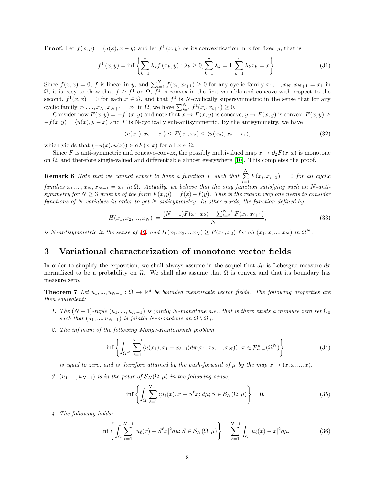**Proof:** Let  $f(x, y) = \langle u(x), x - y \rangle$  and let  $f^1(x, y)$  be its convexification in x for fixed y, that is

$$
f^{1}(x, y) = \inf \left\{ \sum_{k=1}^{n} \lambda_{k} f(x_{k}, y) : \lambda_{k} \ge 0, \sum_{k=1}^{n} \lambda_{k} = 1, \sum_{k=1}^{n} \lambda_{k} x_{k} = x \right\}.
$$
 (31)

Since  $f(x, x) = 0$ , f is linear in y, and  $\sum_{i=1}^{N} f(x_i, x_{i+1}) \ge 0$  for any cyclic family  $x_1, ..., x_N, x_{N+1} = x_1$  in  $\Omega$ , it is easy to show that  $f \geq f^1$  on  $\Omega$ ,  $f^1$  is convex in the first variable and concave with respect to the second,  $f^1(x, x) = 0$  for each  $x \in \Omega$ , and that  $f^1$  is N-cyclically supersymmetric in the sense that for any cyclic family  $x_1, ..., x_N, x_{N+1} = x_1$  in  $\Omega$ , we have  $\sum_{i=1}^{N} f^1(x_i, x_{i+1}) \ge 0$ .

Consider now  $F(x, y) = -f<sup>1</sup>(x, y)$  and note that  $x \to F(x, y)$  is concave,  $y \to F(x, y)$  is convex,  $F(x, y) \ge$  $-f(x, y) = \langle u(x), y - x \rangle$  and F is N-cyclically sub-antisymmetric. By the antisymmetry, we have

$$
\langle u(x_1), x_2 - x_1 \rangle \le F(x_1, x_2) \le \langle u(x_2), x_2 - x_1 \rangle,\tag{32}
$$

which yields that  $(-u(x), u(x)) \in \partial F(x, x)$  for all  $x \in \Omega$ .

Since F is anti-symmetric and concave-convex, the possibly multivalued map  $x \to \partial_2 F(x, x)$  is monotone on  $\Omega$ , and therefore single-valued and differentiable almost everywhere [\[10\]](#page-13-0). This completes the proof.

**Remark 6** Note that we cannot expect to have a function F such that  $\sum_{n=1}^{N}$  $\sum_{i=1} F(x_i, x_{i+1}) = 0$  for all cyclic families  $x_1, ..., x_N, x_{N+1} = x_1$  in  $\Omega$ . Actually, we believe that the only function satisfying such an N-antisymmetry for  $N \geq 3$  must be of the form  $F(x, y) = f(x) - f(y)$ . This is the reason why one needs to consider functions of N-variables in order to get N-antisymmetry. In other words, the function defined by

$$
H(x_1, x_2, ..., x_N) := \frac{(N-1)F(x_1, x_2) - \sum_{i=2}^{N-1} F(x_i, x_{i+1})}{N},
$$
\n(33)

is N-antisymmetric in the sense of [\(6\)](#page-2-0) and  $H(x_1, x_2..., x_N) \ge F(x_1, x_2)$  for all  $(x_1, x_2..., x_N)$  in  $\Omega^N$ .

### 3 Variational characterization of monotone vector fields

In order to simplify the exposition, we shall always assume in the sequel that  $d\mu$  is Lebesgue measure dx normalized to be a probability on  $\Omega$ . We shall also assume that  $\Omega$  is convex and that its boundary has measure zero.

<span id="page-8-0"></span>**Theorem 7** Let  $u_1, ..., u_{N-1} : \Omega \to \mathbb{R}^d$  be bounded measurable vector fields. The following properties are then equivalent:

- 1. The  $(N-1)$ -tuple  $(u_1, ..., u_{N-1})$  is jointly N-monotone a.e., that is there exists a measure zero set  $\Omega_0$ such that  $(u_1, ..., u_{N-1})$  is jointly N-monotone on  $\Omega \setminus \Omega_0$ .
- 2. The infimum of the following Monge-Kantorovich problem

$$
\inf \left\{ \int_{\Omega^N} \sum_{\ell=1}^{N-1} \langle u(x_1), x_1 - x_{\ell+1} \rangle d\pi(x_1, x_2, ..., x_N) \rangle; \ \pi \in \mathcal{P}_{\text{sym}}^{\mu}(\Omega^N) \right\} \tag{34}
$$

is equal to zero, and is therefore attained by the push-forward of  $\mu$  by the map  $x \to (x, x, ..., x)$ .

3.  $(u_1, ..., u_{N-1})$  is in the polar of  $\mathcal{S}_N(\Omega, \mu)$  in the following sense,

$$
\inf \left\{ \int_{\Omega} \sum_{\ell=1}^{N-1} \langle u_{\ell}(x), x - S^{\ell} x \rangle \, d\mu; S \in \mathcal{S}_N(\Omega, \mu) \right\} = 0. \tag{35}
$$

4. The following holds:

$$
\inf \left\{ \int_{\Omega} \sum_{\ell=1}^{N-1} |u_{\ell}(x) - S^{\ell}x|^2 d\mu; S \in \mathcal{S}_N(\Omega, \mu) \right\} = \sum_{\ell=1}^{N-1} \int_{\Omega} |u_{\ell}(x) - x|^2 d\mu. \tag{36}
$$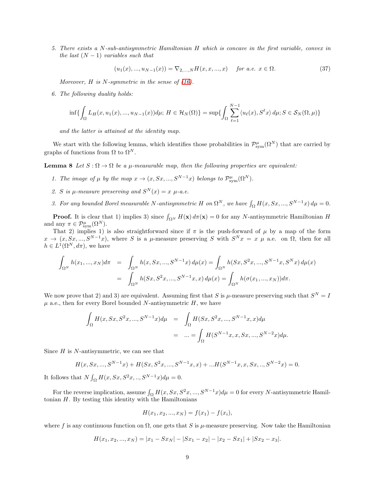5. There exists a N-sub-antisymmetric Hamiltonian H which is concave in the first variable, convex in the last  $(N-1)$  variables such that

$$
(u_1(x),...,u_{N-1}(x)) = \nabla_{2,...,N} H(x,x,...,x) \quad \text{for a.e. } x \in \Omega. \tag{37}
$$

Moreover,  $H$  is  $N$ -symmetric in the sense of [\(16\)](#page-3-1).

6. The following duality holds:

$$
\inf\{\int_{\Omega}L_H(x,u_1(x),...,u_{N-1}(x))d\mu;\ H\in\mathcal{H}_N(\Omega)\}=\sup\{\int_{\Omega}\sum_{\ell=1}^{N-1}\langle u_{\ell}(x),S^{\ell}x\rangle\,d\mu; S\in\mathcal{S}_N(\Omega,\mu)\}
$$

and the latter is attained at the identity map.

We start with the following lemma, which identifies those probabilities in  $\mathcal{P}_{sym}^{\mu}(\Omega^N)$  that are carried by graphs of functions from  $\Omega$  to  $\Omega^N$ .

**Lemma 8** Let  $S : \Omega \to \Omega$  be a  $\mu$ -measurable map, then the following properties are equivalent:

- 1. The image of  $\mu$  by the map  $x \to (x, Sx, ..., S^{N-1}x)$  belongs to  $\mathcal{P}_{sym}^{\mu}(\Omega^N)$ .
- 2. S is  $\mu$ -measure preserving and  $S^{N}(x) = x \mu$ -a.e.
- 3. For any bounded Borel measurable N-antisymmetric H on  $\Omega^N$ , we have  $\int_{\Omega} H(x, Sx, ..., S^{N-1}x) d\mu = 0$ .

**Proof.** It is clear that 1) implies 3) since  $\int_{\Omega^N} H(\mathbf{x}) d\pi(\mathbf{x}) = 0$  for any N-antisymmetric Hamiltonian H and any  $\pi \in \mathcal{P}_{sym}^{\mu}(\Omega^N)$ .

That 2) implies 1) is also straightforward since if  $\pi$  is the push-forward of  $\mu$  by a map of the form  $x \to (x, Sx, ..., S^{N-1}x)$ , where S is a  $\mu$ -measure preserving S with  $S^{N}x = x \mu$  a.e. on  $\Omega$ , then for all  $h \in L^1(\Omega^N, d\pi)$ , we have

$$
\int_{\Omega^N} h(x_1, ..., x_N) d\pi = \int_{\Omega^N} h(x, Sx, ..., S^{N-1}x) d\mu(x) = \int_{\Omega^N} h(Sx, S^2x, ..., S^{N-1}x, S^Nx) d\mu(x)
$$

$$
= \int_{\Omega^N} h(Sx, S^2x, ..., S^{N-1}x, x) d\mu(x) = \int_{\Omega^N} h(\sigma(x_1, ..., x_N)) d\pi.
$$

We now prove that 2) and 3) are equivalent. Assuming first that S is  $\mu$ -measure preserving such that  $S^N = I$  $\mu$  a.e., then for every Borel bounded N-antisymmetric H, we have

$$
\int_{\Omega} H(x, Sx, S^{2}x, ..., S^{N-1}x) d\mu = \int_{\Omega} H(Sx, S^{2}x, ..., S^{N-1}x, x) d\mu
$$

$$
= ... = \int_{\Omega} H(S^{N-1}x, x, Sx, ..., S^{N-2}x) d\mu.
$$

Since  $H$  is  $N$ -antisymmetric, we can see that

$$
H(x, Sx, ..., S^{N-1}x) + H(Sx, S^2x, ..., S^{N-1}x, x) + ...H(S^{N-1}x, x, Sx, ..., S^{N-2}x) = 0.
$$

It follows that  $N \int_{\Omega} H(x, Sx, S^2x, \ldots, S^{N-1}x) d\mu = 0.$ 

For the reverse implication, assume  $\int_{\Omega} H(x, Sx, S^2x, ..., S^{N-1}x)d\mu = 0$  for every N-antisymmetric Hamiltonian  $H$ . By testing this identity with the Hamiltonians

$$
H(x_1, x_2, ..., x_N) = f(x_1) - f(x_i),
$$

where f is any continuous function on  $\Omega$ , one gets that S is  $\mu$ -measure preserving. Now take the Hamiltonian

$$
H(x_1, x_2, ..., x_N) = |x_1 - Sx_N| - |Sx_1 - x_2| - |x_2 - Sx_1| + |Sx_2 - x_3|.
$$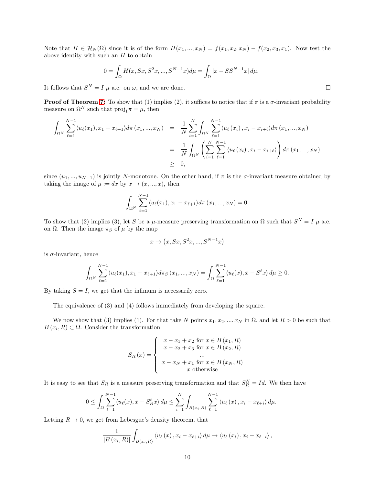Note that  $H \in \mathcal{H}_N(\Omega)$  since it is of the form  $H(x_1,...,x_N) = f(x_1,x_2,x_N) - f(x_2,x_3,x_1)$ . Now test the above identity with such an  $H$  to obtain

$$
0 = \int_{\Omega} H(x, Sx, S^{2}x, ..., S^{N-1}x) d\mu = \int_{\Omega} |x - SS^{N-1}x| d\mu.
$$

It follows that  $S^N = I \mu$  a.e. on  $\omega$ , and we are done.

**Proof of Theorem [7:](#page-8-0)** To show that (1) implies (2), it suffices to notice that if  $\pi$  is a  $\sigma$ -invariant probability measure on  $\Omega^N$  such that  $\text{proj}_1 \pi = \mu$ , then

$$
\int_{\Omega^N} \sum_{\ell=1}^{N-1} \langle u_{\ell}(x_1), x_1 - x_{\ell+1} \rangle d\pi(x_1, ..., x_N) = \frac{1}{N} \sum_{i=1}^N \int_{\Omega^N} \sum_{\ell=1}^{N-1} \langle u_{\ell}(x_i), x_i - x_{i+\ell} \rangle d\pi(x_1, ..., x_N)
$$
  
\n
$$
= \frac{1}{N} \int_{\Omega^N} \left( \sum_{i=1}^N \sum_{\ell=1}^{N-1} \langle u_{\ell}(x_i), x_i - x_{i+\ell} \rangle \right) d\pi(x_1, ..., x_N)
$$
  
\n
$$
\geq 0,
$$

since  $(u_1, ..., u_{N-1})$  is jointly N-monotone. On the other hand, if  $\pi$  is the  $\sigma$ -invariant measure obtained by taking the image of  $\mu := dx$  by  $x \to (x, ..., x)$ , then

$$
\int_{\Omega^N} \sum_{\ell=1}^{N-1} \langle u_{\ell}(x_1), x_1 - x_{\ell+1} \rangle d\pi(x_1, ..., x_N) = 0.
$$

To show that (2) implies (3), let S be a  $\mu$ -measure preserving transformation on  $\Omega$  such that  $S^N = I$   $\mu$  a.e. on Ω. Then the image  $\pi_S$  of  $\mu$  by the map

$$
x \rightarrow (x, Sx, S^2x, ..., S^{N-1}x)
$$

is  $\sigma$ -invariant, hence

$$
\int_{\Omega^N} \sum_{\ell=1}^{N-1} \langle u_\ell(x_1), x_1 - x_{\ell+1} \rangle d\pi_S(x_1, ..., x_N) = \int_{\Omega} \sum_{\ell=1}^{N-1} \langle u_\ell(x), x - S^\ell x \rangle d\mu \ge 0.
$$

By taking  $S = I$ , we get that the infimum is necessarily zero.

The equivalence of (3) and (4) follows immediately from developing the square.

We now show that (3) implies (1). For that take N points  $x_1, x_2, ..., x_N$  in  $\Omega$ , and let  $R > 0$  be such that  $B(x_i, R) \subset \Omega$ . Consider the transformation

$$
S_R(x) = \begin{cases} x - x_1 + x_2 \text{ for } x \in B(x_1, R) \\ x - x_2 + x_3 \text{ for } x \in B(x_2, R) \\ \dots \\ x - x_N + x_1 \text{ for } x \in B(x_N, R) \\ x \text{ otherwise} \end{cases}
$$

It is easy to see that  $S_R$  is a measure preserving transformation and that  $S_R^N = Id$ . We then have

$$
0 \leq \int_{\Omega} \sum_{\ell=1}^{N-1} \langle u_{\ell}(x), x - S_{R}^{\ell} x \rangle \, d\mu \leq \sum_{i=1}^{N} \int_{B(x_i, R)} \sum_{\ell=1}^{N-1} \langle u_{\ell}(x), x_i - x_{\ell+i} \rangle \, d\mu.
$$

Letting  $R \to 0$ , we get from Lebesgue's density theorem, that

$$
\frac{1}{|B(x_i,R)|}\int_{B(x_i,R)} \langle u_\ell(x), x_i-x_{\ell+i}\rangle d\mu \to \langle u_\ell(x_i), x_i-x_{\ell+i}\rangle,
$$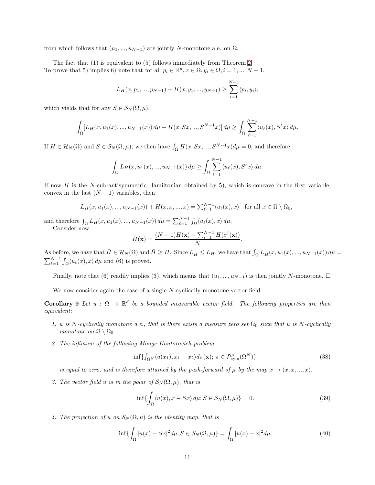from which follows that  $(u_1, ..., u_{N-1})$  are jointly N-monotone a.e. on  $\Omega$ .

The fact that (1) is equivalent to (5) follows immediately from Theorem [2.](#page-3-2) To prove that 5) implies 6) note that for all  $p_i \in \mathbb{R}^d, x \in \Omega, y_i \in \Omega, i = 1, ..., N - 1$ ,

$$
L_H(x, p_1, ..., p_{N-1}) + H(x, y_1, ..., y_{N-1}) \ge \sum_{i=1}^{N-1} \langle p_i, y_i \rangle,
$$

which yields that for any  $S \in \mathcal{S}_N(\Omega, \mu)$ ,

$$
\int_{\Omega} [L_H(x, u_1(x), ..., u_{N-1}(x)) d\mu + H(x, Sx, ..., S^{N-1}x)] d\mu \ge \int_{\Omega} \sum_{\ell=1}^{N-1} \langle u_{\ell}(x), S^{\ell}x \rangle d\mu.
$$

If  $H \in \mathcal{H}_N(\Omega)$  and  $S \in \mathcal{S}_N(\Omega, \mu)$ , we then have  $\int_{\Omega} H(x, Sx, ..., S^{N-1}x)d\mu = 0$ , and therefore

$$
\int_{\Omega} L_H(x, u_1(x), ..., u_{N-1}(x)) d\mu \ge \int_{\Omega} \sum_{\ell=1}^{N-1} \langle u_{\ell}(x), S^{\ell} x \rangle d\mu.
$$

If now  $H$  is the N-sub-antisymmetric Hamiltonian obtained by 5), which is concave in the first variable, convex in the last  $(N-1)$  variables, then

$$
L_H(x, u_1(x), ..., u_{N-1}(x)) + H(x, x, ..., x) = \sum_{\ell=1}^{N-1} \langle u_{\ell}(x), x \rangle \text{ for all } x \in \Omega \setminus \Omega_0,
$$

and therefore  $\int_{\Omega} L_H(x, u_1(x), ..., u_{N-1}(x)) d\mu = \sum_{\ell=1}^{N-1} \int_{\Omega} \langle u_{\ell}(x), x \rangle d\mu$ .

Consider now

$$
\bar{H}(\mathbf{x}) = \frac{(N-1)H(\mathbf{x}) - \sum_{i=1}^{N-1} H(\sigma^i(\mathbf{x}))}{N}.
$$

As before, we have that  $\overline{H} \in \mathcal{H}_N(\Omega)$  and  $\overline{H} \geq H$ . Since  $L_{\overline{H}} \leq L_H$ , we have that  $\int_{\Omega} L_{\overline{H}}(x, u_1(x), ..., u_{N-1}(x)) d\mu =$  $\sum_{\ell=1}^{N-1} \int_{\Omega} \langle u_{\ell}(x), x \rangle d\mu$  and (6) is proved.

Finally, note that (6) readily implies (3), which means that  $(u_1, ..., u_{N-1})$  is then jointly N-monotone.  $\Box$ 

We now consider again the case of a single N-cyclically monotone vector field.

**Corollary 9** Let  $u : \Omega \to \mathbb{R}^d$  be a bounded measurable vector field. The following properties are then equivalent:

- 1. u is N-cyclically monotone a.e., that is there exists a measure zero set  $\Omega_0$  such that u is N-cyclically monotone on  $\Omega \setminus \Omega_0$ .
- 2. The infimum of the following Monge-Kantorovich problem

$$
\inf \{ \int_{\Omega^N} \langle u(x_1), x_1 - x_2 \rangle d\pi(\mathbf{x}); \ \pi \in \mathcal{P}_{sym}^{\mu}(\Omega^N) \} \tag{38}
$$

is equal to zero, and is therefore attained by the push-forward of  $\mu$  by the map  $x \to (x, x, ..., x)$ .

3. The vector field u is in the polar of  $\mathcal{S}_N(\Omega,\mu)$ , that is

$$
\inf \{ \int_{\Omega} \langle u(x), x - Sx \rangle \, d\mu; S \in \mathcal{S}_N(\Omega, \mu) \} = 0. \tag{39}
$$

4. The projection of u on  $\mathcal{S}_N(\Omega,\mu)$  is the identity map, that is

$$
\inf \{ \int_{\Omega} |u(x) - Sx|^2 d\mu; S \in \mathcal{S}_N(\Omega, \mu) \} = \int_{\Omega} |u(x) - x|^2 d\mu. \tag{40}
$$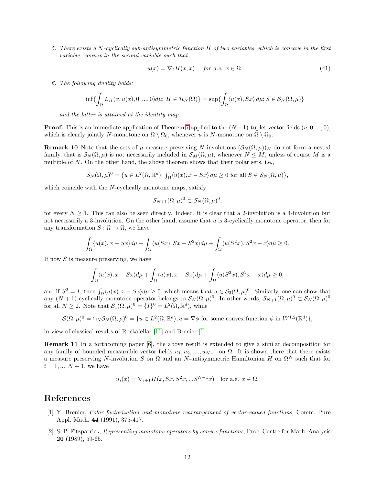5. There exists a N-cyclically sub-antisymmetric function H of two variables, which is concave in the first variable, convex in the second variable such that

$$
u(x) = \nabla_2 H(x, x) \quad \text{for a.e. } x \in \Omega. \tag{41}
$$

6. The following duality holds:

$$
\inf \{ \int_{\Omega} L_H(x, u(x), 0, \ldots, 0) d\mu; H \in \mathcal{H}_N(\Omega) \} = \sup \{ \int_{\Omega} \langle u(x), Sx \rangle d\mu; S \in \mathcal{S}_N(\Omega, \mu) \}
$$

and the latter is attained at the identity map.

**Proof:** This is an immediate application of Theorem [7](#page-8-0) applied to the  $(N-1)$ -tuplet vector fields  $(u, 0, ..., 0)$ , which is clearly jointly N-monotone on  $\Omega \setminus \Omega_0$ , whenever u is N-monotone on  $\Omega \setminus \Omega_0$ .

**Remark 10** Note that the sets of  $\mu$ -measure preserving N-involutions  $(\mathcal{S}_N(\Omega, \mu))_N$  do not form a nested family, that is  $\mathcal{S}_N(\Omega,\mu)$  is not necessarily included in  $\mathcal{S}_M(\Omega,\mu)$ , whenever  $N \leq M$ , unless of course M is a multiple of  $N$ . On the other hand, the above theorem shows that their polar sets, i.e.,

$$
\mathcal{S}_N(\Omega,\mu)^0 = \{u \in L^2(\Omega,\mathbb{R}^d);\,\int_{\Omega} \langle u(x), x - Sx \rangle \, d\mu \ge 0 \text{ for all } S \in \mathcal{S}_N(\Omega,\mu) \},
$$

which coincide with the  $N$ -cyclically monotone maps, satisfy

$$
\mathcal{S}_{N+1}(\Omega,\mu)^0\subset \mathcal{S}_N(\Omega,\mu)^0,
$$

for every  $N \geq 1$ . This can also be seen directly. Indeed, it is clear that a 2-involution is a 4-involution but not necessarily a 3-involution. On the other hand, assume that u is 3-cyclically monotone operator, then for any transformation  $S : \Omega \to \Omega$ , we have

$$
\int_{\Omega} \langle u(x), x - Sx \rangle d\mu + \int_{\Omega} \langle u(Sx), Sx - S^2x \rangle d\mu + \int_{\Omega} \langle u(S^2x), S^2x - x \rangle d\mu \ge 0.
$$

If now  $S$  is measure preserving, we have

$$
\int_{\Omega} \langle u(x), x - Sx \rangle d\mu + \int_{\Omega} \langle u(x), x - Sx \rangle d\mu + \int_{\Omega} \langle u(S^2x), S^2x - x \rangle d\mu \ge 0,
$$

and if  $S^2 = I$ , then  $\int_{\Omega} \langle u(x), x - Sx \rangle d\mu \geq 0$ , which means that  $u \in S_2(\Omega, \mu)^0$ . Similarly, one can show that any  $(N + 1)$ -cyclically monotone operator belongs to  $S_N(\Omega, \mu)^0$ . In other words,  $S_{N+1}(\Omega, \mu)^0 \subset S_N(\Omega, \mu)^0$ for all  $N \geq 2$ . Note that  $\mathcal{S}_1(\Omega, \mu)^0 = \{I\}^0 = L^2(\Omega, \mathbb{R}^d)$ , while

$$
\mathcal{S}(\Omega,\mu)^0=\cap_N\mathcal{S}_N(\Omega,\mu)^0=\{u\in L^2(\Omega,\mathbb{R}^d),u=\nabla\phi\text{ for some convex function }\phi\text{ in }W^{1,2}(\mathbb{R}^d)\},
$$

in view of classical results of Rockafellar [\[11\]](#page-13-6) and Brenier [\[1\]](#page-12-0).

Remark 11 In a forthcoming paper [\[6\]](#page-13-5), the above result is extended to give a similar decomposition for any family of bounded measurable vector fields  $u_1, u_2, ..., u_{N-1}$  on  $\Omega$ . It is shown there that there exists a measure preserving N-involution S on  $\Omega$  and an N-antisymmetric Hamiltonian H on  $\Omega^N$  such that for  $i = 1, ..., N - 1$ , we have

$$
u_i(x) = \nabla_{i+1} H(x, Sx, S^2x, ...S^{N-1}x)
$$
 for a.e.  $x \in \Omega$ .

#### <span id="page-12-0"></span>References

- [1] Y. Brenier, Polar factorization and monotone rearrangement of vector-valued functions, Comm. Pure Appl. Math. 44 (1991), 375-417.
- [2] S. P. Fitzpatrick, Representing monotone operators by convex functions, Proc. Centre for Math. Analysis 20 (1989), 59-65.